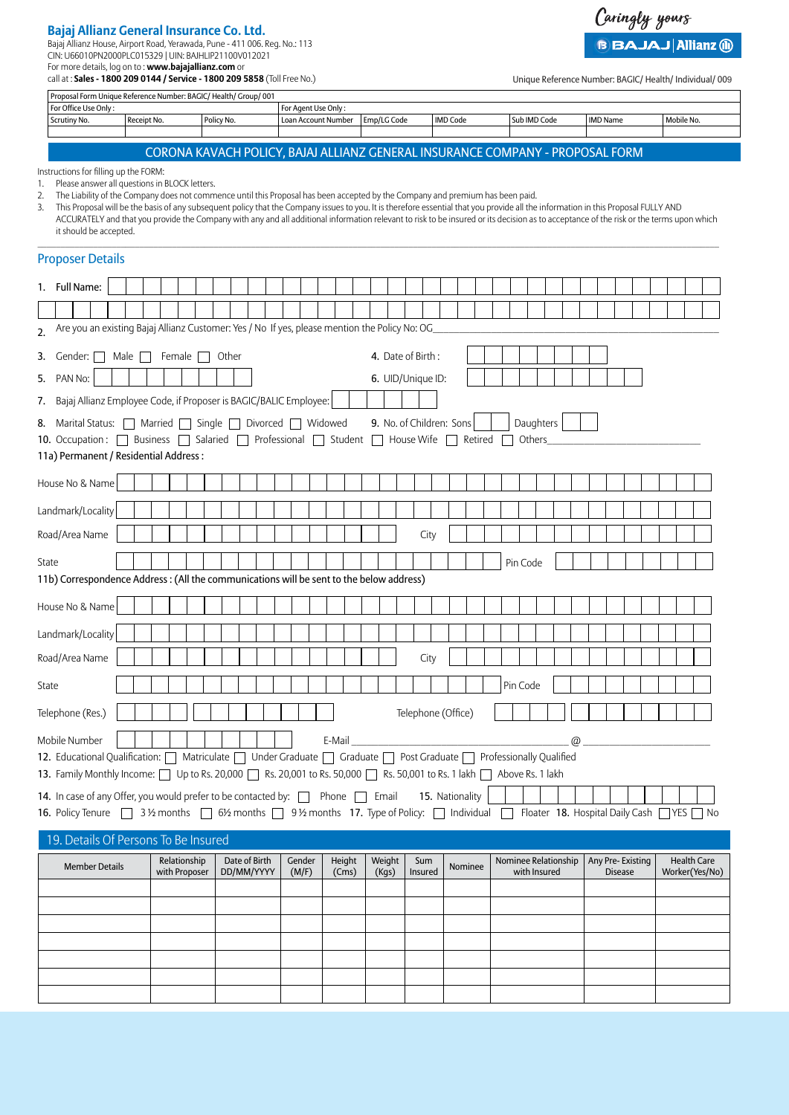## **Bajaj Allianz General Insurance Co. Ltd.**

Bajaj Allianz House, Airport Road, Yerawada, Pune - 411 006. Reg. No.: 113

CIN: U66010PN2000PLC015329 | UIN: BAJHLIP21100V012021 For more details, log on to : **www.bajajallianz.com** or

call at : **Sales - 1800 209 0144 / Service - 1800 209 5858** (Toll Free No.)

Unique Reference Number: BAGIC/ Health/ Individual/ 009

Caringly yours

**BBAJAJ Allianz @** 

|                                                                                                                                                                     | Proposal Form Unique Reference Number: BAGIC/ Health/ Group/ 001                                                                                                                                                                                                                                                                                                                                                                                                                                                                                                                                                                    |             |               |  |            |               |                         |  |                                            |  |         |             |                                                                               |                 |         |         |                      |          |              |  |                  |                |  |                    |                |  |
|---------------------------------------------------------------------------------------------------------------------------------------------------------------------|-------------------------------------------------------------------------------------------------------------------------------------------------------------------------------------------------------------------------------------------------------------------------------------------------------------------------------------------------------------------------------------------------------------------------------------------------------------------------------------------------------------------------------------------------------------------------------------------------------------------------------------|-------------|---------------|--|------------|---------------|-------------------------|--|--------------------------------------------|--|---------|-------------|-------------------------------------------------------------------------------|-----------------|---------|---------|----------------------|----------|--------------|--|------------------|----------------|--|--------------------|----------------|--|
|                                                                                                                                                                     | For Office Use Only:<br>Scrutiny No.                                                                                                                                                                                                                                                                                                                                                                                                                                                                                                                                                                                                | Receipt No. |               |  | Policy No. |               |                         |  | For Agent Use Only:<br>Loan Account Number |  |         | Emp/LG Code |                                                                               | <b>IMD Code</b> |         |         |                      |          | Sub IMD Code |  | <b>IMD Name</b>  |                |  | Mobile No.         |                |  |
|                                                                                                                                                                     |                                                                                                                                                                                                                                                                                                                                                                                                                                                                                                                                                                                                                                     |             |               |  |            |               |                         |  |                                            |  |         |             |                                                                               |                 |         |         |                      |          |              |  |                  |                |  |                    |                |  |
|                                                                                                                                                                     |                                                                                                                                                                                                                                                                                                                                                                                                                                                                                                                                                                                                                                     |             |               |  |            |               |                         |  |                                            |  |         |             | CORONA KAVACH POLICY, BAJAJ ALLIANZ GENERAL INSURANCE COMPANY - PROPOSAL FORM |                 |         |         |                      |          |              |  |                  |                |  |                    |                |  |
| 1.<br>2.<br>3.                                                                                                                                                      | Instructions for filling up the FORM:<br>Please answer all questions in BLOCK letters.<br>The Liability of the Company does not commence until this Proposal has been accepted by the Company and premium has been paid.<br>This Proposal will be the basis of any subsequent policy that the Company issues to you. It is therefore essential that you provide all the information in this Proposal FULLY AND<br>ACCURATELY and that you provide the Company with any and all additional information relevant to risk to be insured or its decision as to acceptance of the risk or the terms upon which<br>it should be accepted. |             |               |  |            |               |                         |  |                                            |  |         |             |                                                                               |                 |         |         |                      |          |              |  |                  |                |  |                    |                |  |
|                                                                                                                                                                     | <b>Proposer Details</b>                                                                                                                                                                                                                                                                                                                                                                                                                                                                                                                                                                                                             |             |               |  |            |               |                         |  |                                            |  |         |             |                                                                               |                 |         |         |                      |          |              |  |                  |                |  |                    |                |  |
|                                                                                                                                                                     | 1. Full Name:                                                                                                                                                                                                                                                                                                                                                                                                                                                                                                                                                                                                                       |             |               |  |            |               |                         |  |                                            |  |         |             |                                                                               |                 |         |         |                      |          |              |  |                  |                |  |                    |                |  |
| 2.                                                                                                                                                                  | Are you an existing Bajaj Allianz Customer: Yes / No If yes, please mention the Policy No: OG                                                                                                                                                                                                                                                                                                                                                                                                                                                                                                                                       |             |               |  |            |               |                         |  |                                            |  |         |             |                                                                               |                 |         |         |                      |          |              |  |                  |                |  |                    |                |  |
| 3.                                                                                                                                                                  | 4. Date of Birth:<br>Female [<br>Gender: $\Box$<br>Male    <br>Other<br>$\blacksquare$                                                                                                                                                                                                                                                                                                                                                                                                                                                                                                                                              |             |               |  |            |               |                         |  |                                            |  |         |             |                                                                               |                 |         |         |                      |          |              |  |                  |                |  |                    |                |  |
| 5.                                                                                                                                                                  | PAN No:                                                                                                                                                                                                                                                                                                                                                                                                                                                                                                                                                                                                                             |             |               |  |            |               |                         |  |                                            |  |         |             | 6. UID/Unique ID:                                                             |                 |         |         |                      |          |              |  |                  |                |  |                    |                |  |
| 7.                                                                                                                                                                  | Bajaj Allianz Employee Code, if Proposer is BAGIC/BALIC Employee:                                                                                                                                                                                                                                                                                                                                                                                                                                                                                                                                                                   |             |               |  |            |               |                         |  |                                            |  |         |             |                                                                               |                 |         |         |                      |          |              |  |                  |                |  |                    |                |  |
|                                                                                                                                                                     | 8. Marital Status: □ Married □                                                                                                                                                                                                                                                                                                                                                                                                                                                                                                                                                                                                      |             |               |  | Single     |               | Divorced $\Box$ Widowed |  |                                            |  |         |             | 9. No. of Children: Sons                                                      |                 |         |         |                      |          | Daughters    |  |                  |                |  |                    |                |  |
|                                                                                                                                                                     | 10. Occupation:   Business   Salaried                                                                                                                                                                                                                                                                                                                                                                                                                                                                                                                                                                                               |             |               |  |            |               | Professional            |  |                                            |  | Student |             | House Wife                                                                    |                 |         | Retired |                      |          | Others       |  |                  |                |  |                    |                |  |
|                                                                                                                                                                     | 11a) Permanent / Residential Address:                                                                                                                                                                                                                                                                                                                                                                                                                                                                                                                                                                                               |             |               |  |            |               |                         |  |                                            |  |         |             |                                                                               |                 |         |         |                      |          |              |  |                  |                |  |                    |                |  |
|                                                                                                                                                                     | House No & Name                                                                                                                                                                                                                                                                                                                                                                                                                                                                                                                                                                                                                     |             |               |  |            |               |                         |  |                                            |  |         |             |                                                                               |                 |         |         |                      |          |              |  |                  |                |  |                    |                |  |
|                                                                                                                                                                     | Landmark/Locality                                                                                                                                                                                                                                                                                                                                                                                                                                                                                                                                                                                                                   |             |               |  |            |               |                         |  |                                            |  |         |             |                                                                               |                 |         |         |                      |          |              |  |                  |                |  |                    |                |  |
|                                                                                                                                                                     | Road/Area Name                                                                                                                                                                                                                                                                                                                                                                                                                                                                                                                                                                                                                      |             |               |  |            |               |                         |  |                                            |  |         |             | City                                                                          |                 |         |         |                      |          |              |  |                  |                |  |                    |                |  |
| State                                                                                                                                                               | 11b) Correspondence Address: (All the communications will be sent to the below address)                                                                                                                                                                                                                                                                                                                                                                                                                                                                                                                                             |             |               |  |            |               |                         |  |                                            |  |         |             |                                                                               |                 |         |         |                      | Pin Code |              |  |                  |                |  |                    |                |  |
|                                                                                                                                                                     | House No & Name                                                                                                                                                                                                                                                                                                                                                                                                                                                                                                                                                                                                                     |             |               |  |            |               |                         |  |                                            |  |         |             |                                                                               |                 |         |         |                      |          |              |  |                  |                |  |                    |                |  |
|                                                                                                                                                                     | Landmark/Locality                                                                                                                                                                                                                                                                                                                                                                                                                                                                                                                                                                                                                   |             |               |  |            |               |                         |  |                                            |  |         |             |                                                                               |                 |         |         |                      |          |              |  |                  |                |  |                    |                |  |
|                                                                                                                                                                     | Road/Area Name                                                                                                                                                                                                                                                                                                                                                                                                                                                                                                                                                                                                                      |             |               |  |            |               |                         |  |                                            |  |         |             | City                                                                          |                 |         |         |                      |          |              |  |                  |                |  |                    |                |  |
| State                                                                                                                                                               |                                                                                                                                                                                                                                                                                                                                                                                                                                                                                                                                                                                                                                     |             |               |  |            |               |                         |  |                                            |  |         |             |                                                                               |                 |         |         |                      | Pin Code |              |  |                  |                |  |                    |                |  |
|                                                                                                                                                                     | Telephone (Res.)                                                                                                                                                                                                                                                                                                                                                                                                                                                                                                                                                                                                                    |             |               |  |            |               |                         |  |                                            |  |         |             | Telephone (Office)                                                            |                 |         |         |                      |          |              |  |                  |                |  |                    |                |  |
|                                                                                                                                                                     |                                                                                                                                                                                                                                                                                                                                                                                                                                                                                                                                                                                                                                     |             |               |  |            |               |                         |  |                                            |  |         |             |                                                                               |                 |         |         |                      |          |              |  |                  |                |  |                    |                |  |
|                                                                                                                                                                     | Mobile Number<br>E-Mail<br>$\circledR$                                                                                                                                                                                                                                                                                                                                                                                                                                                                                                                                                                                              |             |               |  |            |               |                         |  |                                            |  |         |             |                                                                               |                 |         |         |                      |          |              |  |                  |                |  |                    |                |  |
|                                                                                                                                                                     | 12. Educational Qualification:   Matriculate   Under Graduate   Graduate   Post Graduate   Professionally Qualified<br>13. Family Monthly Income: $\Box$ Up to Rs. 20,000 $\Box$ Rs. 20,001 to Rs. 50,000 $\Box$ Rs. 50,001 to Rs. 1 lakh $\Box$ Above Rs. 1 lakh                                                                                                                                                                                                                                                                                                                                                                   |             |               |  |            |               |                         |  |                                            |  |         |             |                                                                               |                 |         |         |                      |          |              |  |                  |                |  |                    |                |  |
|                                                                                                                                                                     | 15. Nationality<br>14. In case of any Offer, you would prefer to be contacted by: network none netwith                                                                                                                                                                                                                                                                                                                                                                                                                                                                                                                              |             |               |  |            |               |                         |  |                                            |  |         |             |                                                                               |                 |         |         |                      |          |              |  |                  |                |  |                    |                |  |
|                                                                                                                                                                     |                                                                                                                                                                                                                                                                                                                                                                                                                                                                                                                                                                                                                                     |             |               |  |            |               |                         |  |                                            |  |         |             |                                                                               |                 |         |         |                      |          |              |  |                  |                |  |                    |                |  |
| 16. Policy Tenure 31/2 months 61/2 months 91/2 months 17. Type of Policy: Individual Floater 18. Hospital Daily Cash YES No<br>19. Details Of Persons To Be Insured |                                                                                                                                                                                                                                                                                                                                                                                                                                                                                                                                                                                                                                     |             |               |  |            |               |                         |  |                                            |  |         |             |                                                                               |                 |         |         |                      |          |              |  |                  |                |  |                    |                |  |
|                                                                                                                                                                     |                                                                                                                                                                                                                                                                                                                                                                                                                                                                                                                                                                                                                                     |             | Relationship  |  |            | Date of Birth |                         |  | Gender                                     |  | Height  | Weight      | Sum                                                                           |                 |         |         | Nominee Relationship |          |              |  | Any Pre-Existing |                |  | <b>Health Care</b> |                |  |
|                                                                                                                                                                     | <b>Member Details</b>                                                                                                                                                                                                                                                                                                                                                                                                                                                                                                                                                                                                               |             | with Proposer |  |            |               | DD/MM/YYYY              |  | (M/F)                                      |  | (Cms)   | (Kgs)       | Insured                                                                       |                 | Nominee |         |                      |          | with Insured |  |                  | <b>Disease</b> |  |                    | Worker(Yes/No) |  |
|                                                                                                                                                                     |                                                                                                                                                                                                                                                                                                                                                                                                                                                                                                                                                                                                                                     |             |               |  |            |               |                         |  |                                            |  |         |             |                                                                               |                 |         |         |                      |          |              |  |                  |                |  |                    |                |  |
|                                                                                                                                                                     |                                                                                                                                                                                                                                                                                                                                                                                                                                                                                                                                                                                                                                     |             |               |  |            |               |                         |  |                                            |  |         |             |                                                                               |                 |         |         |                      |          |              |  |                  |                |  |                    |                |  |
|                                                                                                                                                                     |                                                                                                                                                                                                                                                                                                                                                                                                                                                                                                                                                                                                                                     |             |               |  |            |               |                         |  |                                            |  |         |             |                                                                               |                 |         |         |                      |          |              |  |                  |                |  |                    |                |  |
|                                                                                                                                                                     |                                                                                                                                                                                                                                                                                                                                                                                                                                                                                                                                                                                                                                     |             |               |  |            |               |                         |  |                                            |  |         |             |                                                                               |                 |         |         |                      |          |              |  |                  |                |  |                    |                |  |
|                                                                                                                                                                     |                                                                                                                                                                                                                                                                                                                                                                                                                                                                                                                                                                                                                                     |             |               |  |            |               |                         |  |                                            |  |         |             |                                                                               |                 |         |         |                      |          |              |  |                  |                |  |                    |                |  |
|                                                                                                                                                                     |                                                                                                                                                                                                                                                                                                                                                                                                                                                                                                                                                                                                                                     |             |               |  |            |               |                         |  |                                            |  |         |             |                                                                               |                 |         |         |                      |          |              |  |                  |                |  |                    |                |  |